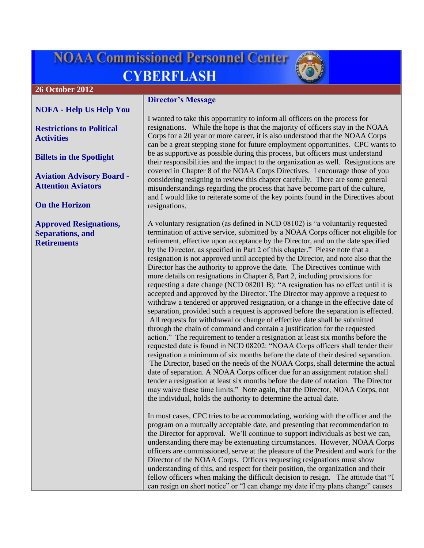# **NOAA Commissioned Personnel Center CYBERFLASH**



#### **26 October 2012**

## **NOFA - [Help Us Help You](#page-1-0)**

**[Restrictions to Political](#page-1-1)  [Activities](#page-1-1)**

**[Billets in the Spotlight](#page-1-1)**

**[Aviation Advisory Board -](#page-1-1) [Attention Aviators](#page-1-1)**

**[On the Horizon](#page-1-1)**

**[Approved Resignations,](#page-1-1)  [Separations, and](#page-1-1)  [Retirements](#page-1-1)**

### **Director's Message**

I wanted to take this opportunity to inform all officers on the process for resignations. While the hope is that the majority of officers stay in the NOAA Corps for a 20 year or more career, it is also understood that the NOAA Corps can be a great stepping stone for future employment opportunities. CPC wants to be as supportive as possible during this process, but officers must understand their responsibilities and the impact to the organization as well. Resignations are covered in Chapter 8 of the NOAA Corps Directives. I encourage those of you considering resigning to review this chapter carefully. There are some general misunderstandings regarding the process that have become part of the culture, and I would like to reiterate some of the key points found in the Directives about resignations.

A voluntary resignation (as defined in NCD 08102) is "a voluntarily requested termination of active service, submitted by a NOAA Corps officer not eligible for retirement, effective upon acceptance by the Director, and on the date specified by the Director, as specified in Part 2 of this chapter." Please note that a resignation is not approved until accepted by the Director, and note also that the Director has the authority to approve the date. The Directives continue with more details on resignations in Chapter 8, Part 2, including provisions for requesting a date change (NCD 08201 B): "A resignation has no effect until it is accepted and approved by the Director. The Director may approve a request to withdraw a tendered or approved resignation, or a change in the effective date of separation, provided such a request is approved before the separation is effected. All requests for withdrawal or change of effective date shall be submitted through the chain of command and contain a justification for the requested action." The requirement to tender a resignation at least six months before the requested date is found in NCD 08202: "NOAA Corps officers shall tender their resignation a minimum of six months before the date of their desired separation. The Director, based on the needs of the NOAA Corps, shall determine the actual date of separation. A NOAA Corps officer due for an assignment rotation shall tender a resignation at least six months before the date of rotation. The Director may waive these time limits." Note again, that the Director, NOAA Corps, not the individual, holds the authority to determine the actual date.

In most cases, CPC tries to be accommodating, working with the officer and the program on a mutually acceptable date, and presenting that recommendation to the Director for approval. We'll continue to support individuals as best we can, understanding there may be extenuating circumstances. However, NOAA Corps officers are commissioned, serve at the pleasure of the President and work for the Director of the NOAA Corps. Officers requesting resignations must show understanding of this, and respect for their position, the organization and their fellow officers when making the difficult decision to resign. The attitude that "I can resign on short notice" or "I can change my date if my plans change" causes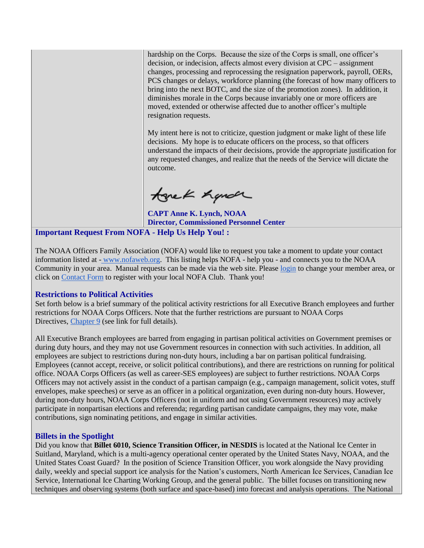hardship on the Corps. Because the size of the Corps is small, one officer's decision, or indecision, affects almost every division at CPC – assignment changes, processing and reprocessing the resignation paperwork, payroll, OERs, PCS changes or delays, workforce planning (the forecast of how many officers to bring into the next BOTC, and the size of the promotion zones). In addition, it diminishes morale in the Corps because invariably one or more officers are moved, extended or otherwise affected due to another officer's multiple resignation requests.

My intent here is not to criticize, question judgment or make light of these life decisions. My hope is to educate officers on the process, so that officers understand the impacts of their decisions, provide the appropriate justification for any requested changes, and realize that the needs of the Service will dictate the outcome.

tonek handr

**CAPT Anne K. Lynch, NOAA Director, Commissioned Personnel Center**

<span id="page-1-0"></span>**Important Request From NOFA - Help Us Help You! :**

The NOAA Officers Family Association (NOFA) would like to request you take a moment to update your contact information listed at - [www.nofaweb.org.](http://www.nofaweb.org/) This listing helps NOFA - help you - and connects you to the NOAA Community in your area. Manual requests can be made via the web site. Please [login](http://www.nofaweb.org/login.php?info=DENIED) to change your member area, or click on [Contact Form](http://www.nofaweb.org/contacts/) to register with your local NOFA Club. Thank you!

#### <span id="page-1-1"></span>**Restrictions to Political Activities**

Set forth below is a brief summary of the political activity restrictions for all Executive Branch employees and further restrictions for NOAA Corps Officers. Note that the further restrictions are pursuant to NOAA Corps Directives, [Chapter 9](http://www.corpscpc.noaa.gov/procedures/corps_directives/chapter_9/ch09.pdf) (see link for full details).

All Executive Branch employees are barred from engaging in partisan political activities on Government premises or during duty hours, and they may not use Government resources in connection with such activities. In addition, all employees are subject to restrictions during non-duty hours, including a bar on partisan political fundraising. Employees (cannot accept, receive, or solicit political contributions), and there are restrictions on running for political office. NOAA Corps Officers (as well as career-SES employees) are subject to further restrictions. NOAA Corps Officers may not actively assist in the conduct of a partisan campaign (e.g., campaign management, solicit votes, stuff envelopes, make speeches) or serve as an officer in a political organization, even during non-duty hours. However, during non-duty hours, NOAA Corps Officers (not in uniform and not using Government resources) may actively participate in nonpartisan elections and referenda; regarding partisan candidate campaigns, they may vote, make contributions, sign nominating petitions, and engage in similar activities.

#### **Billets in the Spotlight**

Did you know that **Billet 6010, Science Transition Officer, in NESDIS** is located at the National Ice Center in Suitland, Maryland, which is a multi-agency operational center operated by the United States Navy, NOAA, and the United States Coast Guard? In the position of Science Transition Officer, you work alongside the Navy providing daily, weekly and special support ice analysis for the Nation's customers, North American Ice Services, Canadian Ice Service, International Ice Charting Working Group, and the general public. The billet focuses on transitioning new techniques and observing systems (both surface and space-based) into forecast and analysis operations. The National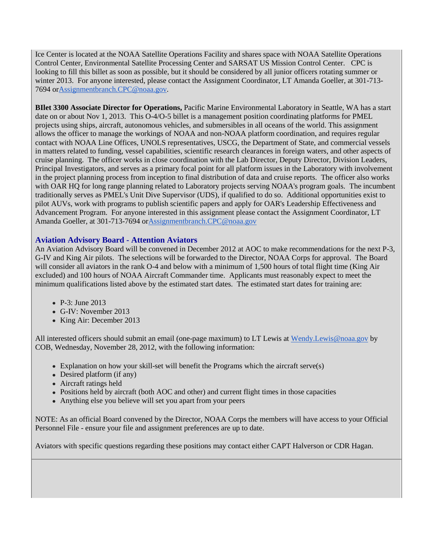Ice Center is located at the NOAA Satellite Operations Facility and shares space with NOAA Satellite Operations Control Center, Environmental Satellite Processing Center and SARSAT US Mission Control Center. CPC is looking to fill this billet as soon as possible, but it should be considered by all junior officers rotating summer or winter 2013. For anyone interested, please contact the Assignment Coordinator, LT Amanda Goeller, at 301-713-7694 o[rAssignmentbranch.CPC@noaa.gov.](mailto:Assignmentbranch.CPC@noaa.gov)

**BIlet 3300 Associate Director for Operations,** Pacific Marine Environmental Laboratory in Seattle, WA has a start date on or about Nov 1, 2013. This O-4/O-5 billet is a management position coordinating platforms for PMEL projects using ships, aircraft, autonomous vehicles, and submersibles in all oceans of the world. This assignment allows the officer to manage the workings of NOAA and non-NOAA platform coordination, and requires regular contact with NOAA Line Offices, UNOLS representatives, USCG, the Department of State, and commercial vessels in matters related to funding, vessel capabilities, scientific research clearances in foreign waters, and other aspects of cruise planning. The officer works in close coordination with the Lab Director, Deputy Director, Division Leaders, Principal Investigators, and serves as a primary focal point for all platform issues in the Laboratory with involvement in the project planning process from inception to final distribution of data and cruise reports. The officer also works with OAR HQ for long range planning related to Laboratory projects serving NOAA's program goals. The incumbent traditionally serves as PMEL's Unit Dive Supervisor (UDS), if qualified to do so. Additional opportunities exist to pilot AUVs, work with programs to publish scientific papers and apply for OAR's Leadership Effectiveness and Advancement Program. For anyone interested in this assignment please contact the Assignment Coordinator, LT Amanda Goeller, at 301-713-7694 o[rAssignmentbranch.CPC@noaa.gov](mailto:Assignmentbranch.CPC@noaa.gov)

#### **Aviation Advisory Board - Attention Aviators**

An Aviation Advisory Board will be convened in December 2012 at AOC to make recommendations for the next P-3, G-IV and King Air pilots. The selections will be forwarded to the Director, NOAA Corps for approval. The Board will consider all aviators in the rank O-4 and below with a minimum of 1,500 hours of total flight time (King Air excluded) and 100 hours of NOAA Aircraft Commander time. Applicants must reasonably expect to meet the minimum qualifications listed above by the estimated start dates. The estimated start dates for training are:

- P-3: June 2013
- G-IV: November 2013
- King Air: December 2013

All interested officers should submit an email (one-page maximum) to LT Lewis at [Wendy.Lewis@noaa.gov](mailto:Wendy.Lewis@noaa.gov) by COB, Wednesday, November 28, 2012, with the following information:

- Explanation on how your skill-set will benefit the Programs which the aircraft serve(s)
- Desired platform (if any)
- Aircraft ratings held
- Positions held by aircraft (both AOC and other) and current flight times in those capacities
- Anything else you believe will set you apart from your peers

NOTE: As an official Board convened by the Director, NOAA Corps the members will have access to your Official Personnel File - ensure your file and assignment preferences are up to date.

Aviators with specific questions regarding these positions may contact either CAPT Halverson or CDR Hagan.